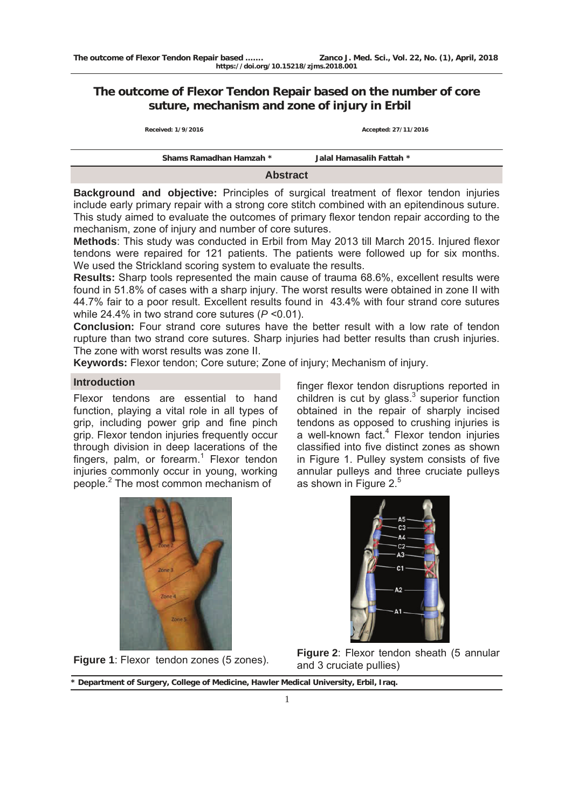# **The outcome of Flexor Tendon Repair based on the number of core suture, mechanism and zone of injury in Erbil**

| Shams Ramadhan Hamzah * | Jalal Hamasalih Fattah * |
|-------------------------|--------------------------|
| Received: 1/9/2016      | Accepted: 27/11/2016     |

**Abstract** 

**Background and objective:** Principles of surgical treatment of flexor tendon injuries include early primary repair with a strong core stitch combined with an epitendinous suture. This study aimed to evaluate the outcomes of primary flexor tendon repair according to the mechanism, zone of injury and number of core sutures.

**Methods**: This study was conducted in Erbil from May 2013 till March 2015. Injured flexor tendons were repaired for 121 patients. The patients were followed up for six months. We used the Strickland scoring system to evaluate the results.

**Results:** Sharp tools represented the main cause of trauma 68.6%, excellent results were found in 51.8% of cases with a sharp injury. The worst results were obtained in zone II with 44.7% fair to a poor result. Excellent results found in 43.4% with four strand core sutures while 24.4% in two strand core sutures (*P* ˂0.01).

**Conclusion:** Four strand core sutures have the better result with a low rate of tendon rupture than two strand core sutures. Sharp injuries had better results than crush injuries. The zone with worst results was zone II.

**Keywords:** Flexor tendon; Core suture; Zone of injury; Mechanism of injury.

# **Introduction**

Flexor tendons are essential to hand function, playing a vital role in all types of grip, including power grip and fine pinch grip. Flexor tendon injuries frequently occur through division in deep lacerations of the fingers, palm, or forearm.<sup>1</sup> Flexor tendon injuries commonly occur in young, working people.<sup>2</sup> The most common mechanism of

finger flexor tendon disruptions reported in children is cut by glass. $3$  superior function obtained in the repair of sharply incised tendons as opposed to crushing injuries is a well-known fact.<sup>4</sup> Flexor tendon injuries classified into five distinct zones as shown in Figure 1. Pulley system consists of five annular pulleys and three cruciate pulleys as shown in Figure  $2<sup>5</sup>$ 





**Figure 2:** Flexor tendon zones (5 zones). **Figure 2:** Flexor tendon sheath (5 annular and 3 cruciate pullies)

**<sup>\*</sup> Department of Surgery, College of Medicine, Hawler Medical University, Erbil, Iraq.**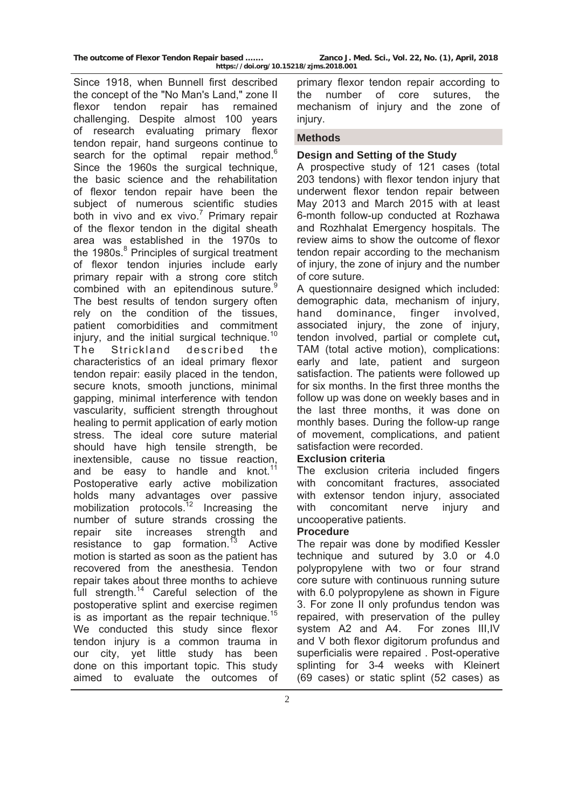Since 1918, when Bunnell first described the concept of the "No Man's Land," zone II flexor tendon repair has remained challenging. Despite almost 100 years of research evaluating primary flexor tendon repair, hand surgeons continue to search for the optimal repair method.<sup>6</sup> Since the 1960s the surgical technique, the basic science and the rehabilitation of flexor tendon repair have been the subject of numerous scientific studies both in vivo and ex vivo.<sup>7</sup> Primary repair of the flexor tendon in the digital sheath area was established in the 1970s to the 1980s.<sup>8</sup> Principles of surgical treatment of flexor tendon injuries include early primary repair with a strong core stitch combined with an epitendinous suture.<sup>9</sup> The best results of tendon surgery often rely on the condition of the tissues, patient comorbidities and commitment injury, and the initial surgical technique.<sup>10</sup> The Strickland described the characteristics of an ideal primary flexor tendon repair: easily placed in the tendon, secure knots, smooth junctions, minimal gapping, minimal interference with tendon vascularity, sufficient strength throughout healing to permit application of early motion stress. The ideal core suture material should have high tensile strength, be inextensible, cause no tissue reaction, and be easy to handle and knot. $11$ Postoperative early active mobilization holds many advantages over passive mobilization protocols.<sup>12</sup> Increasing the number of suture strands crossing the repair site increases strength and resistance to gap formation. $^{13}$  Active motion is started as soon as the patient has recovered from the anesthesia. Tendon repair takes about three months to achieve full strength.<sup>14</sup> Careful selection of the postoperative splint and exercise regimen is as important as the repair technique.<sup>15</sup> We conducted this study since flexor tendon injury is a common trauma in our city, yet little study has been done on this important topic. This study aimed to evaluate the outcomes of

primary flexor tendon repair according to the number of core sutures, the mechanism of injury and the zone of injury.

## **Methods**

## **Design and Setting of the Study**

A prospective study of 121 cases (total 203 tendons) with flexor tendon injury that underwent flexor tendon repair between May 2013 and March 2015 with at least 6-month follow-up conducted at Rozhawa and Rozhhalat Emergency hospitals. The review aims to show the outcome of flexor tendon repair according to the mechanism of injury, the zone of injury and the number of core suture.

A questionnaire designed which included: demographic data, mechanism of injury, hand dominance, finger involved, associated injury, the zone of injury, tendon involved, partial or complete cut**,**  TAM (total active motion), complications: early and late, patient and surgeon satisfaction. The patients were followed up for six months. In the first three months the follow up was done on weekly bases and in the last three months, it was done on monthly bases. During the follow-up range of movement, complications, and patient satisfaction were recorded.

## **Exclusion criteria**

The exclusion criteria included fingers with concomitant fractures, associated with extensor tendon injury, associated with concomitant nerve injury and uncooperative patients.

## **Procedure**

The repair was done by modified Kessler technique and sutured by 3.0 or 4.0 polypropylene with two or four strand core suture with continuous running suture with 6.0 polypropylene as shown in Figure 3. For zone II only profundus tendon was repaired, with preservation of the pulley system A2 and A4. For zones III,IV and V both flexor digitorum profundus and superficialis were repaired . Post-operative splinting for 3-4 weeks with Kleinert (69 cases) or static splint (52 cases) as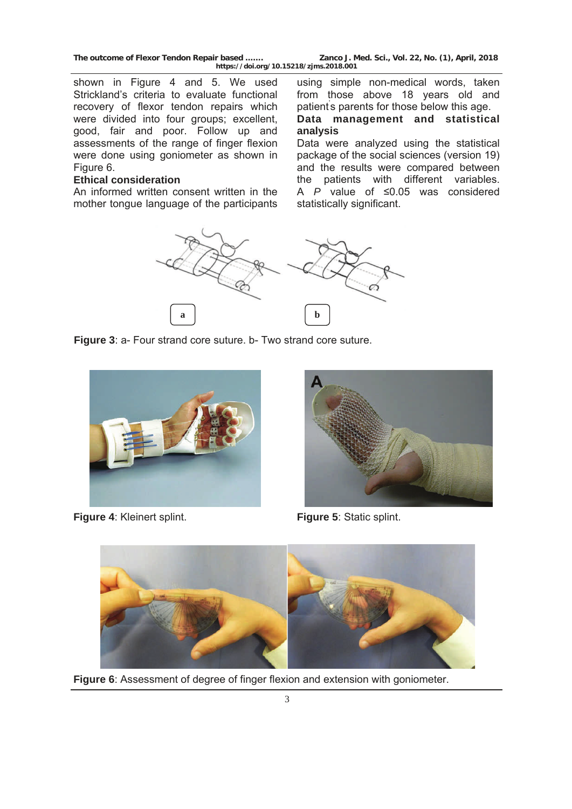shown in Figure 4 and 5. We used Strickland's criteria to evaluate functional recovery of flexor tendon repairs which were divided into four groups; excellent, good, fair and poor. Follow up and assessments of the range of finger flexion were done using goniometer as shown in Figure 6.

## **Ethical consideration**

An informed written consent written in the mother tongue language of the participants

using simple non-medical words, taken from those above 18 years old and patient' s parents for those below this age.

**Data management and statistical analysis** 

Data were analyzed using the statistical package of the social sciences (version 19) and the results were compared between the patients with different variables. A *P* value of ≤0.05 was considered statistically significant.



**Figure 3**: a- Four strand core suture. b- Two strand core suture.



**Figure 4**: Kleinert splint. **Figure 5**: Static splint.





**Figure 6**: Assessment of degree of finger flexion and extension with goniometer.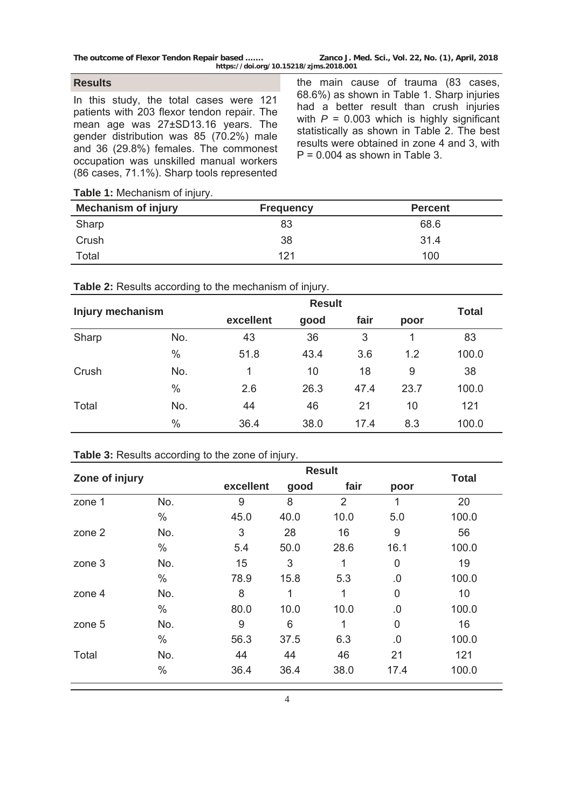#### **Results**

In this study, the total cases were 121 patients with 203 flexor tendon repair. The mean age was 27±SD13.16 years. The gender distribution was 85 (70.2%) male and 36 (29.8%) females. The commonest occupation was unskilled manual workers (86 cases, 71.1%). Sharp tools represented

the main cause of trauma (83 cases, 68.6%) as shown in Table 1. Sharp injuries had a better result than crush injuries with  $P = 0.003$  which is highly significant statistically as shown in Table 2. The best results were obtained in zone 4 and 3, with  $P = 0.004$  as shown in Table 3.

**Table 1:** Mechanism of injury.

| <b>Mechanism of injury</b> | <b>Frequency</b> | <b>Percent</b> |
|----------------------------|------------------|----------------|
| Sharp                      | 83               | 68.6           |
| Crush                      | 38               | 31.4           |
| Total                      | 121              | 100            |

| Injury mechanism |      | <b>Result</b> |                      |      |             |              |
|------------------|------|---------------|----------------------|------|-------------|--------------|
|                  |      | excellent     | fair<br>good<br>poor |      |             | <b>Total</b> |
| Sharp            | No.  | 43            | 36                   | 3    | $\mathbf 1$ | 83           |
|                  | $\%$ | 51.8          | 43.4                 | 3.6  | 1.2         | 100.0        |
| Crush            | No.  | 1             | 10                   | 18   | 9           | 38           |
|                  | $\%$ | 2.6           | 26.3                 | 47.4 | 23.7        | 100.0        |
| Total            | No.  | 44            | 46                   | 21   | 10          | 121          |
|                  | $\%$ | 36.4          | 38.0                 | 17.4 | 8.3         | 100.0        |

# **Table 2:** Results according to the mechanism of injury.

## **Table 3:** Results according to the zone of injury.

| Zone of injury |      |           | <b>Result</b> |      |                |              |
|----------------|------|-----------|---------------|------|----------------|--------------|
|                |      | excellent | good          | fair | poor           | <b>Total</b> |
| zone 1         | No.  | 9         | 8             | 2    | 1              | 20           |
|                | $\%$ | 45.0      | 40.0          | 10.0 | 5.0            | 100.0        |
| zone 2         | No.  | 3         | 28            | 16   | 9              | 56           |
|                | $\%$ | 5.4       | 50.0          | 28.6 | 16.1           | 100.0        |
| zone 3         | No.  | 15        | 3             |      | 0              | 19           |
|                | $\%$ | 78.9      | 15.8          | 5.3  | .0             | 100.0        |
| zone 4         | No.  | 8         | 1             | 1    | $\overline{0}$ | 10           |
|                | $\%$ | 80.0      | 10.0          | 10.0 | 0.0            | 100.0        |
| zone 5         | No.  | 9         | 6             | 1    | $\overline{0}$ | 16           |
|                | $\%$ | 56.3      | 37.5          | 6.3  | 0.0            | 100.0        |
| Total          | No.  | 44        | 44            | 46   | 21             | 121          |
|                | $\%$ | 36.4      | 36.4          | 38.0 | 17.4           | 100.0        |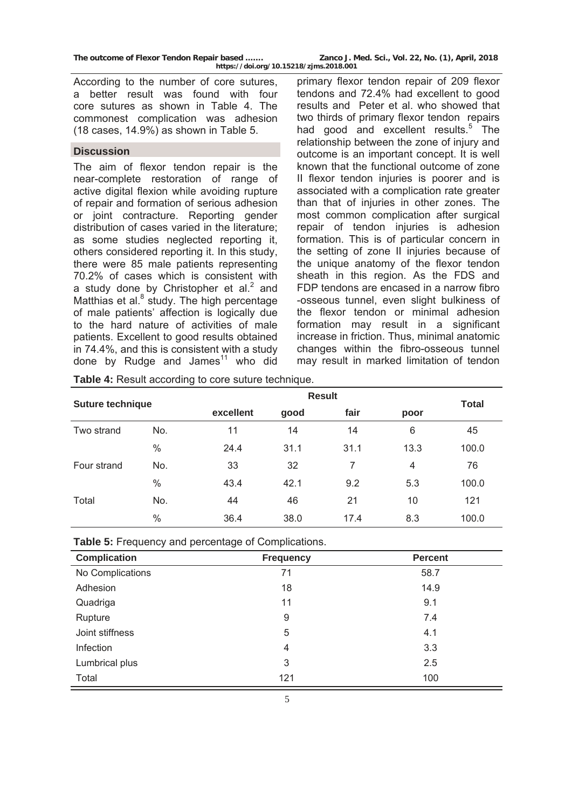According to the number of core sutures, a better result was found with four core sutures as shown in Table 4. The commonest complication was adhesion (18 cases, 14.9%) as shown in Table 5.

## **Discussion**

The aim of flexor tendon repair is the near-complete restoration of range of active digital flexion while avoiding rupture of repair and formation of serious adhesion or joint contracture. Reporting gender distribution of cases varied in the literature; as some studies neglected reporting it, others considered reporting it. In this study, there were 85 male patients representing 70.2% of cases which is consistent with a study done by Christopher et al. $<sup>2</sup>$  and</sup> Matthias et al.<sup>8</sup> study. The high percentage of male patients' affection is logically due to the hard nature of activities of male patients. Excellent to good results obtained in 74.4%, and this is consistent with a study done by Rudge and James $11$  who did

primary flexor tendon repair of 209 flexor tendons and 72.4% had excellent to good results and Peter et al. who showed that two thirds of primary flexor tendon repairs had good and excellent results.<sup>5</sup> The relationship between the zone of injury and outcome is an important concept. It is well known that the functional outcome of zone II flexor tendon injuries is poorer and is associated with a complication rate greater than that of injuries in other zones. The most common complication after surgical repair of tendon injuries is adhesion formation. This is of particular concern in the setting of zone II injuries because of the unique anatomy of the flexor tendon sheath in this region. As the FDS and FDP tendons are encased in a narrow fibro -osseous tunnel, even slight bulkiness of the flexor tendon or minimal adhesion formation may result in a significant increase in friction. Thus, minimal anatomic changes within the fibro-osseous tunnel may result in marked limitation of tendon

**Table 4:** Result according to core suture technique.

| <b>Suture technique</b> |               | <b>Result</b> |      |      |      | <b>Total</b> |
|-------------------------|---------------|---------------|------|------|------|--------------|
|                         |               | excellent     | good | fair | poor |              |
| Two strand              | No.           | 11            | 14   | 14   | 6    | 45           |
|                         | $\%$          | 24.4          | 31.1 | 31.1 | 13.3 | 100.0        |
| Four strand             | No.           | 33            | 32   | 7    | 4    | 76           |
|                         | $\frac{0}{0}$ | 43.4          | 42.1 | 9.2  | 5.3  | 100.0        |
| Total                   | No.           | 44            | 46   | 21   | 10   | 121          |
|                         | $\frac{0}{0}$ | 36.4          | 38.0 | 17.4 | 8.3  | 100.0        |

| <b>Complication</b> | <b>Frequency</b> | <b>Percent</b> |
|---------------------|------------------|----------------|
| No Complications    | 71               | 58.7           |
| Adhesion            | 18               | 14.9           |
| Quadriga            | 11               | 9.1            |
| Rupture             | 9                | 7.4            |
| Joint stiffness     | 5                | 4.1            |
| Infection           | 4                | 3.3            |
| Lumbrical plus      | 3                | 2.5            |
| Total               | 121              | 100            |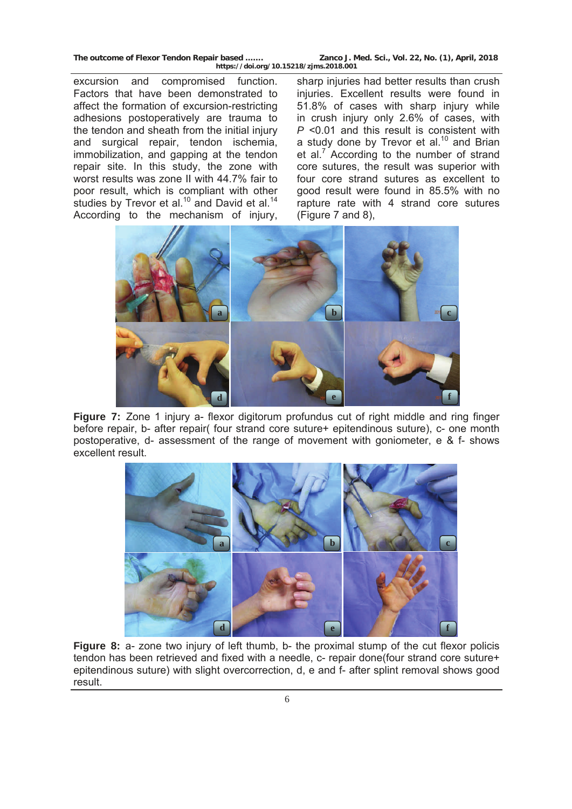excursion and compromised function. Factors that have been demonstrated to affect the formation of excursion-restricting adhesions postoperatively are trauma to the tendon and sheath from the initial injury and surgical repair, tendon ischemia, immobilization, and gapping at the tendon repair site. In this study, the zone with worst results was zone II with 44.7% fair to poor result, which is compliant with other studies by Trevor et al.<sup>10</sup> and David et al.<sup>14</sup> According to the mechanism of injury,

sharp injuries had better results than crush injuries. Excellent results were found in 51.8% of cases with sharp injury while in crush injury only 2.6% of cases, with *P* <0.01 and this result is consistent with a study done by Trevor et al.<sup>10</sup> and Brian et al.<sup>7</sup> According to the number of strand core sutures, the result was superior with four core strand sutures as excellent to good result were found in 85.5% with no rapture rate with 4 strand core sutures (Figure 7 and 8),



**Figure 7:** Zone 1 injury a- flexor digitorum profundus cut of right middle and ring finger before repair, b- after repair( four strand core suture+ epitendinous suture), c- one month postoperative, d- assessment of the range of movement with goniometer, e & f- shows excellent result.



Figure 8: a- zone two injury of left thumb, b- the proximal stump of the cut flexor policis tendon has been retrieved and fixed with a needle, c- repair done four strand core suture+ epitendinous suture) with slight overcorrection, d, e and f- after splint removal shows good result.